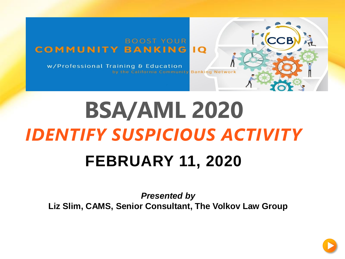#### **BOOST YOUR COMMUNITY BANKING**  $\overline{1}$

w/Professional Training & Education by the California Community Banking Network

# **BSA/AML 2020** *IDENTIFY SUSPICIOUS ACTIVITY* **FEBRUARY 11, 2020**

*Presented by* **Liz Slim, CAMS, Senior Consultant, The Volkov Law Group**



**CCB**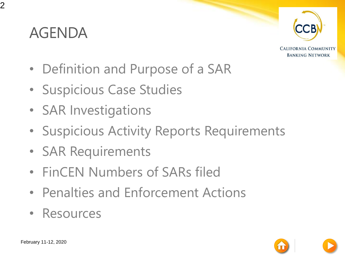#### AGENDA



**CALIFORNIA COMMUNITY BANKING NETWORK** 

- Definition and Purpose of a SAR
- Suspicious Case Studies
- SAR Investigations
- Suspicious Activity Reports Requirements
- SAR Requirements
- FinCEN Numbers of SARs filed
- Penalties and Enforcement Actions
- Resources

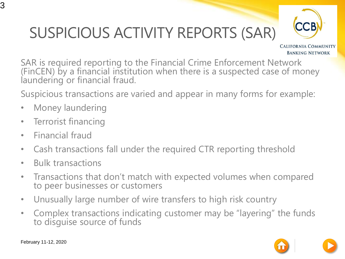## SUSPICIOUS ACTIVITY REPORTS (SAR)



**CALIFORNIA COMMUNITY BANKING NETWORK** 

SAR is required reporting to the Financial Crime Enforcement Network (FinCEN) by a financial institution when there is a suspected case of money laundering or financial fraud.

Suspicious transactions are varied and appear in many forms for example:

- Money laundering
- Terrorist financing
- Financial fraud
- Cash transactions fall under the required CTR reporting threshold
- Bulk transactions
- Transactions that don't match with expected volumes when compared to peer businesses or customers
- Unusually large number of wire transfers to high risk country
- Complex transactions indicating customer may be "layering" the funds to disguise source of funds



3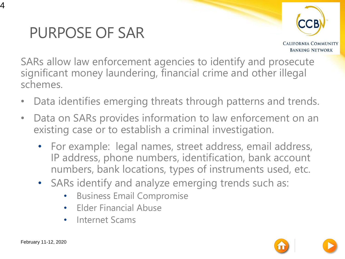



**CALIFORNIA COMMUNITY BANKING NETWORK** 

SARs allow law enforcement agencies to identify and prosecute significant money laundering, financial crime and other illegal schemes.

- Data identifies emerging threats through patterns and trends.
- Data on SARs provides information to law enforcement on an existing case or to establish a criminal investigation.
	- For example: legal names, street address, email address, IP address, phone numbers, identification, bank account numbers, bank locations, types of instruments used, etc.
	- SARs identify and analyze emerging trends such as:
		- Business Email Compromise
		- Elder Financial Abuse
		- Internet Scams



4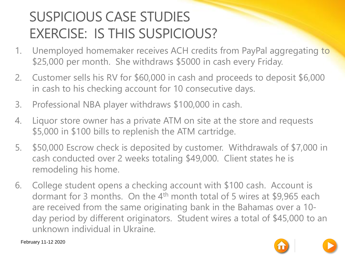#### SUSPICIOUS CASE STUDIES EXERCISE: IS THIS SUSPICIOUS?

- 1. Unemployed homemaker receives ACH credits from PayPal aggregating to \$25,000 per month. She withdraws \$5000 in cash every Friday.
- 2. Customer sells his RV for \$60,000 in cash and proceeds to deposit \$6,000 in cash to his checking account for 10 consecutive days.
- 3. Professional NBA player withdraws \$100,000 in cash.
- 4. Liquor store owner has a private ATM on site at the store and requests \$5,000 in \$100 bills to replenish the ATM cartridge.
- 5. \$50,000 Escrow check is deposited by customer. Withdrawals of \$7,000 in cash conducted over 2 weeks totaling \$49,000. Client states he is remodeling his home.
- 6. College student opens a checking account with \$100 cash. Account is dormant for 3 months. On the  $4<sup>th</sup>$  month total of 5 wires at \$9,965 each are received from the same originating bank in the Bahamas over a 10 day period by different originators. Student wires a total of \$45,000 to an unknown individual in Ukraine.

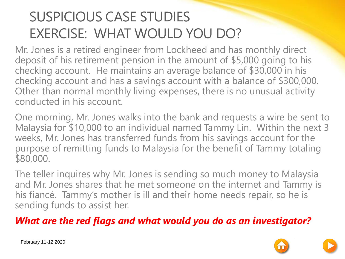#### SUSPICIOUS CASE STUDIES EXERCISE: WHAT WOULD YOU DO?

Mr. Jones is a retired engineer from Lockheed and has monthly direct deposit of his retirement pension in the amount of \$5,000 going to his checking account. He maintains an average balance of \$30,000 in his checking account and has a savings account with a balance of \$300,000. Other than normal monthly living expenses, there is no unusual activity conducted in his account.

One morning, Mr. Jones walks into the bank and requests a wire be sent to Malaysia for \$10,000 to an individual named Tammy Lin. Within the next 3 weeks, Mr. Jones has transferred funds from his savings account for the purpose of remitting funds to Malaysia for the benefit of Tammy totaling \$80,000.

The teller inquires why Mr. Jones is sending so much money to Malaysia and Mr. Jones shares that he met someone on the internet and Tammy is his fiancé. Tammy's mother is ill and their home needs repair, so he is sending funds to assist her.

#### *What are the red flags and what would you do as an investigator?*

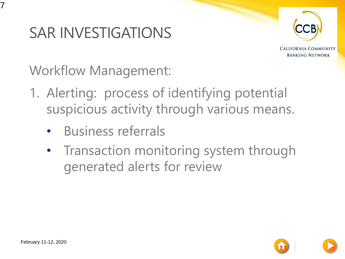

**CALIFORNIA COMMUNITY BANKING NETWORK** 

Workflow Management:

- 1. Alerting: process of identifying potential suspicious activity through various means.
	- Business referrals
	- Transaction monitoring system through generated alerts for review



7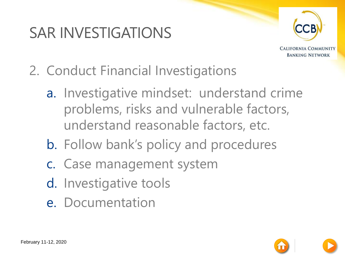

**CALIFORNIA COMMUNITY BANKING NETWORK** 

- 2. Conduct Financial Investigations
	- a. Investigative mindset: understand crime problems, risks and vulnerable factors, understand reasonable factors, etc.
	- b. Follow bank's policy and procedures
	- c. Case management system
	- d. Investigative tools
	- e. Documentation

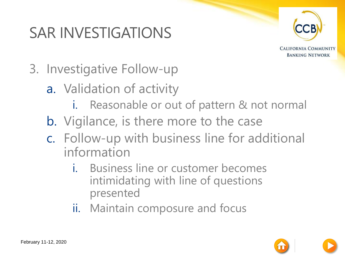

**CALIFORNIA COMMUNITY BANKING NETWORK** 

- 3. Investigative Follow-up
	- a. Validation of activity
		- i. Reasonable or out of pattern & not normal
	- b. Vigilance, is there more to the case
	- c. Follow-up with business line for additional information
		- i. Business line or customer becomes intimidating with line of questions presented
		- ii. Maintain composure and focus

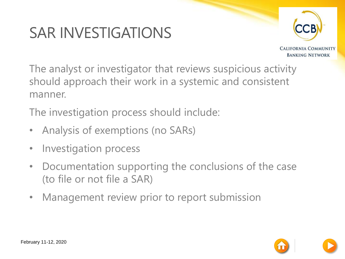

**CALIFORNIA COMMUNITY BANKING NETWORK** 

The analyst or investigator that reviews suspicious activity should approach their work in a systemic and consistent manner.

The investigation process should include:

- Analysis of exemptions (no SARs)
- Investigation process
- Documentation supporting the conclusions of the case (to file or not file a SAR)
- Management review prior to report submission

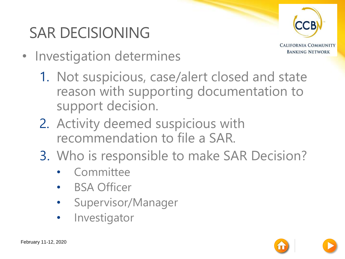#### SAR DECISIONING



**CALIFORNIA COMMUNITY BANKING NETWORK** 

- Investigation determines
	- 1. Not suspicious, case/alert closed and state reason with supporting documentation to support decision.
	- 2. Activity deemed suspicious with recommendation to file a SAR.
	- 3. Who is responsible to make SAR Decision?
		- **Committee**
		- BSA Officer
		- Supervisor/Manager
		- **Investigator**

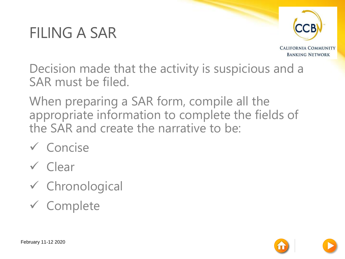#### FILING A SAR



**CALIFORNIA COMMUNITY BANKING NETWORK** 

Decision made that the activity is suspicious and a SAR must be filed.

When preparing a SAR form, compile all the appropriate information to complete the fields of the SAR and create the narrative to be:

- ✓ Concise
- ✓ Clear
- ✓ Chronological
- ✓ Complete

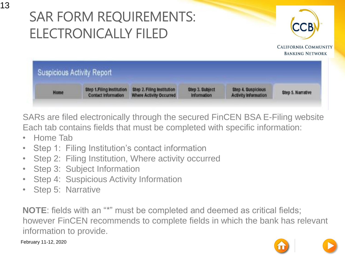#### SAR FORM REQUIREMENTS: ELECTRONICALLY FILED



**CALIFORNIA COMMUNITY BANKING NETWORK** 



SARs are filed electronically through the secured FinCEN BSA E-Filing website Each tab contains fields that must be completed with specific information:

- Home Tab
- Step 1: Filing Institution's contact information
- Step 2: Filing Institution, Where activity occurred
- Step 3: Subject Information
- Step 4: Suspicious Activity Information
- Step 5: Narrative

**NOTE**: fields with an "\*" must be completed and deemed as critical fields; however FinCEN recommends to complete fields in which the bank has relevant information to provide.

February 11-12, 2020

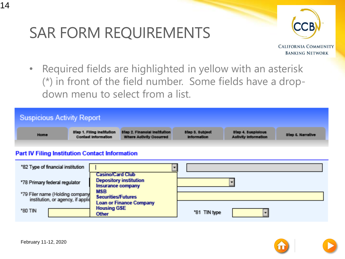

**CALIFORNIA COMMUNITY BANKING NETWORK** 

• Required fields are highlighted in yellow with an asterisk (\*) in front of the field number. Some fields have a dropdown menu to select from a list.



#### **Part IV Filing Institution Contact Information**

| *82 Type of financial institution                                    |                                                                               |              |
|----------------------------------------------------------------------|-------------------------------------------------------------------------------|--------------|
| *78 Primary federal regulator                                        | <b>Casino/Card Club</b><br><b>Depository institution</b><br>Insurance company |              |
| "79 Filer name (Holding company<br>institution, or agency, if applic | <b>MSB</b><br><b>Securities/Futures</b><br><b>Loan or Finance Company</b>     |              |
| "80 TIN                                                              | <b>Housing GSE</b><br>Other                                                   | "81 TIN type |

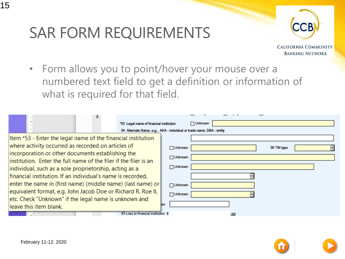

**CALIFORNIA COMMUNITY BANKING NETWORK** 

• Form allows you to point/hover your mouse over a numbered text field to get a definition or information of what is required for that field.

|                                                                  | "53 Legal name of financial institution                               |                | Unknown |             |
|------------------------------------------------------------------|-----------------------------------------------------------------------|----------------|---------|-------------|
|                                                                  | 54 Alternate Name, e.g., AKA - individual or trade name, DBA - entity |                |         |             |
|                                                                  | Item *53 - Enter the legal name of the financial institution          |                |         |             |
| where activity occurred as recorded on articles of               |                                                                       | $\Box$ Unknown |         | 56 TIN type |
| incorporation or other documents establishing the                |                                                                       | $\Box$ Unknown |         |             |
| institution. Enter the full name of the filer if the filer is an |                                                                       |                |         |             |
| individual, such as a sole proprietorship, acting as a           |                                                                       | $\Box$ Unknown |         |             |
|                                                                  | financial institution. If an individual's name is recorded,           |                |         |             |
|                                                                  | enter the name in (first name) (middle name) (last name) or           | $\Box$ Unknown |         |             |
|                                                                  | equivalent format, e.g. John Jacob Doe or Richard R. Roe II,          | $\Box$ Unknown |         |             |
|                                                                  | etc. Check "Unknown" if the legal name is unknown and                 |                |         |             |
| leave this item blank.                                           |                                                                       | ber            |         |             |
|                                                                  | 63 Loss to financial institution \$                                   |                | .00     |             |



15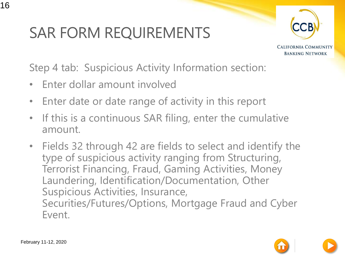

**CALIFORNIA COMMUNITY BANKING NETWORK** 

Step 4 tab: Suspicious Activity Information section:

- Enter dollar amount involved
- Enter date or date range of activity in this report
- If this is a continuous SAR filing, enter the cumulative amount.
- Fields 32 through 42 are fields to select and identify the type of suspicious activity ranging from Structuring, Terrorist Financing, Fraud, Gaming Activities, Money Laundering, Identification/Documentation, Other Suspicious Activities, Insurance, Securities/Futures/Options, Mortgage Fraud and Cyber Event.

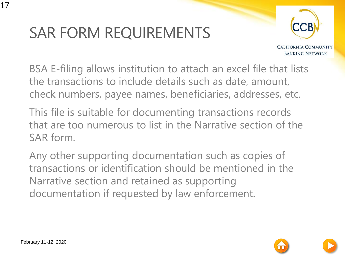

**CALIFORNIA COMMUNITY BANKING NETWORK** 

BSA E-filing allows institution to attach an excel file that lists the transactions to include details such as date, amount, check numbers, payee names, beneficiaries, addresses, etc.

This file is suitable for documenting transactions records that are too numerous to list in the Narrative section of the SAR form.

Any other supporting documentation such as copies of transactions or identification should be mentioned in the Narrative section and retained as supporting documentation if requested by law enforcement.

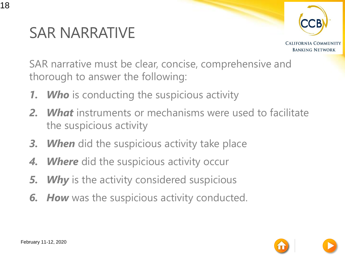

SAR NARRATIVE

18

**CALIFORNIA COMMUNITY BANKING NETWORK** 

SAR narrative must be clear, concise, comprehensive and thorough to answer the following:

- *1. Who* is conducting the suspicious activity
- *2. What* instruments or mechanisms were used to facilitate the suspicious activity
- *3. When* did the suspicious activity take place
- *4. Where* did the suspicious activity occur
- *5. Why* is the activity considered suspicious
- *6. How* was the suspicious activity conducted.

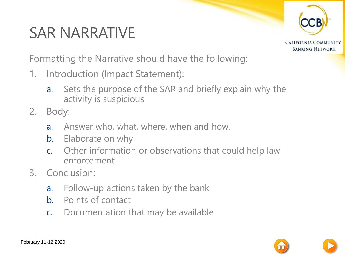#### SAR NARRATIVE



**CALIFORNIA COMMUNITY BANKING NETWORK** 

Formatting the Narrative should have the following:

- 1. Introduction (Impact Statement):
	- a. Sets the purpose of the SAR and briefly explain why the activity is suspicious
- 2. Body:
	- a. Answer who, what, where, when and how.
	- b. Elaborate on why
	- c. Other information or observations that could help law enforcement
- 3. Conclusion:
	- a. Follow-up actions taken by the bank
	- b. Points of contact
	- c. Documentation that may be available

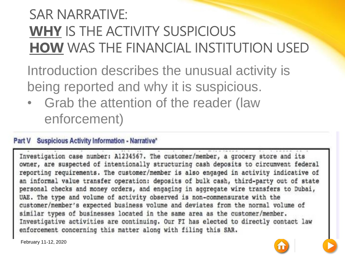#### SAR NARRATIVE: **WHY** IS THE ACTIVITY SUSPICIOUS **HOW** WAS THE FINANCIAL INSTITUTION USED

Introduction describes the unusual activity is being reported and why it is suspicious.

• Grab the attention of the reader (law enforcement)

#### Part V Suspicious Activity Information - Narrative\*

Investigation case number: A1234567. The customer/member, a grocery store and its owner, are suspected of intentionally structuring cash deposits to circumvent federal reporting requirements. The customer/member is also engaged in activity indicative of an informal value transfer operation: deposits of bulk cash, third-party out of state personal checks and money orders, and engaging in aggregate wire transfers to Dubai, UAE. The type and volume of activity observed is non-commensurate with the customer/member's expected business volume and deviates from the normal volume of similar types of businesses located in the same area as the customer/member. Investigative activities are continuing. Our FI has elected to directly contact law enforcement concerning this matter along with filing this SAR.

February 11-12, 2020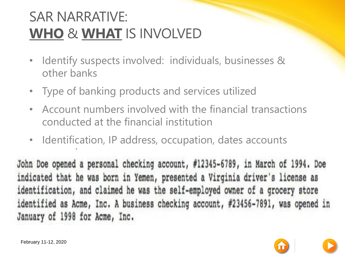#### SAR NARRATIVE: **WHO** & **WHAT** IS INVOLVED

- Identify suspects involved: individuals, businesses & other banks
- Type of banking products and services utilized
- Account numbers involved with the financial transactions conducted at the financial institution
- Identification, IP address, occupation, dates accounts

opened.<br>Opened.com/server.com/server.com John Doe opened a personal checking account, #12345-6789, in March of 1994. Doe indicated that he was born in Yemen, presented a Virginia driver's license as identification, and claimed he was the self-employed owner of a grocery store identified as Acme, Inc. A business checking account, #23456-7891, was opened in January of 1998 for Acme, Inc.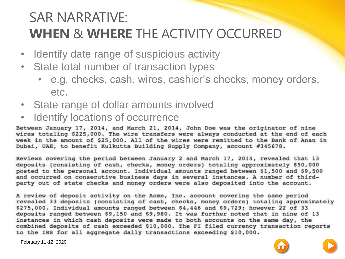#### SAR NARRATIVE: **WHEN** & **WHERE** THE ACTIVITY OCCURRED

- Identify date range of suspicious activity
- State total number of transaction types
	- e.g. checks, cash, wires, cashier's checks, money orders, etc.
- State range of dollar amounts involved
- Identify locations of occurrence

Between January 17, 2014, and March 21, 2014, John Doe was the originator of nine wires totaling \$225,000. The wire transfers were always conducted at the end of each week in the amount of \$25,000. All of the wires were remitted to the Bank of Anan in Dubai, UAE, to benefit Kulkutta Building Supply Company, account #345678.

Reviews covering the period between January 2 and March 17, 2014, revealed that 13 deposits (consisting of cash, checks, money orders) totaling approximately \$50,000 posted to the personal account. Individual amounts ranged between \$1,500 and \$9,500 and occurred on consecutive business days in several instances. A number of thirdparty out of state checks and money orders were also deposited into the account.

A review of deposit activity on the Acme, Inc. account covering the same period revealed 33 deposits (consisting of cash, checks, money orders) totaling approximately \$275,000. Individual amounts ranged between \$4,446 and \$9,729; however 22 of 33 deposits ranged between \$9,150 and \$9,980. It was further noted that in nine of 13 instances in which cash deposits were made to both accounts on the same day, the combined deposits of cash exceeded \$10,000. The FI filed currency transaction reports to the IRS for all aggregate daily transactions exceeding \$10,000.

February 11-12, 2020

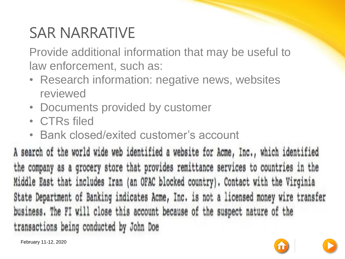#### SAR NARRATIVE

Provide additional information that may be useful to law enforcement, such as:

- Research information: negative news, websites reviewed
- Documents provided by customer
- CTRs filed
- Bank closed/exited customer's account

A search of the world wide web identified a website for Acme, Inc., which identified the company as a grocery store that provides remittance services to countries in the Middle East that includes Iran (an OFAC blocked country). Contact with the Virginia State Department of Banking indicates Acme, Inc. is not a licensed money wire transfer business. The FI will close this account because of the suspect nature of the transactions being conducted by John Doe

February 11-12, 2020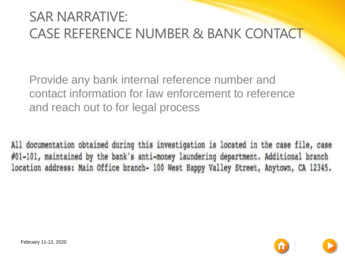#### SAR NARRATIVE: CASE REFERENCE NUMBER & BANK CONTACT

Provide any bank internal reference number and contact information for law enforcement to reference and reach out to for legal process

All documentation obtained during this investigation is located in the case file, case #01-101, maintained by the bank's anti-money laundering department. Additional branch location address: Main Office branch- 100 West Happy Valley Street, Anytown, CA 12345.

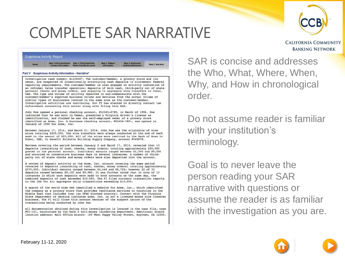



**CALIFORNIA COMMUNITY BANKING NETWORK** 

| Suspicious Activity Report |                            |                                |                 |                             |                   |
|----------------------------|----------------------------|--------------------------------|-----------------|-----------------------------|-------------------|
| Home                       | Step 1. Filing Institution | Step 2. Filing Institution     | Step 3. Subject | <b>Step 4. Suspicious</b>   | Step 5, Narrative |
| <b>CONTRACTOR</b>          | <b>Contact Information</b> | <b>Where Activity Occurred</b> | Information     | <b>Activity Information</b> |                   |

#### Part V Suspicious Activity Information - Narrative'

Investigation case number: A1234567. The customer/member, a grocery store and its owner, are suspected of intentionally structuring cash deposits to circumvent federal reporting requirements. The customer/member is also engaged in activity indicative of an informal value transfer operation: deposits of bulk cash, third-party out of state personal checks and money orders, and engaging in aggregate wire transfers to Dubai, UAE. The type and volume of activity observed is non-commensurate with the customer/member's expected business volume and deviates from the normal volume of similar types of businesses located in the same area as the customer/member. Investigative activities are continuing. Our FI has elected to directly contact law enforcement concerning this matter along with filing this SAR.

John Doe opened a personal checking account, #12345-6789, in March of 1994. Doe indicated that he was born in Yemen, presented a Virginia driver's license as identification, and claimed he was the self-employed owner of a grocery store identified as Acme, Inc. A business checking account, #23456-7891, was opened in January of 1998 for Acme, Inc.

Between January 17, 2014, and March 21, 2014, John Doe was the originator of nine wires totaling \$225,000. The wire transfers were always conducted at the end of each week in the amount of \$25,000. All of the wires were remitted to the Bank of Anan in Dubai, UAE, to benefit Kulkutta Building Supply Company, account #345678.

Reviews covering the period between January 2 and March 17, 2014, revealed that 13 deposits (consisting of cash, checks, money orders) totaling approximately \$50,000 posted to the personal account. Individual amounts ranged between \$1,500 and \$9,500 and occurred on consecutive business days in several instances. A number of thirdparty out of state checks and money orders were also deposited into the account.

A review of deposit activity on the Acme, Inc. account covering the same period revealed 33 deposits (consisting of cash, checks, money orders) totaling approximately \$275,000. Individual amounts ranged between \$4,446 and \$9,729; however 22 of 33 deposits ranged between \$9,150 and \$9,980. It was further noted that in nine of 13 instances in which cash deposits were made to both accounts on the same day, the combined deposits of cash exceeded \$10,000. The FI filed currency transaction reports to the IRS for all aggregate daily transactions exceeding \$10,000.

A search of the world wide web identified a website for Acme, Inc., which identified the company as a grocery store that provides remittance services to countries in the Middle East that includes Iran (an OFAC blocked country). Contact with the Virginia State Department of Banking indicates Acme, Inc. is not a licensed money wire transfer business. The FI will close this account because of the suspect nature of the transactions being conducted by John Doe

All documentation obtained during this investigation is located in the case file, case #01-101, maintained by the bank's anti-money laundering department. Additional branch location address: Main Office branch- 100 West Happy Valley Street, Anytown, CA 12345.

SAR is concise and addresses the Who, What, Where, When, Why, and How in chronological order.

Do not assume reader is familiar with your institution's terminology.

Goal is to never leave the person reading your SAR narrative with questions or assume the reader is as familiar with the investigation as you are.

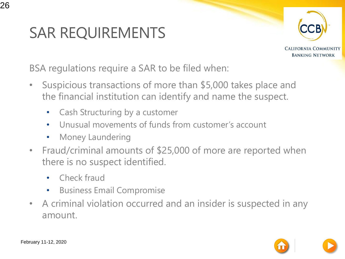#### SAR REQUIREMENTS



**CALIFORNIA COMMUNITY BANKING NETWORK** 

BSA regulations require a SAR to be filed when:

- Suspicious transactions of more than \$5,000 takes place and the financial institution can identify and name the suspect.
	- Cash Structuring by a customer
	- Unusual movements of funds from customer's account
	- Money Laundering
- Fraud/criminal amounts of \$25,000 of more are reported when there is no suspect identified.
	- Check fraud
	- Business Email Compromise
- A criminal violation occurred and an insider is suspected in any amount.

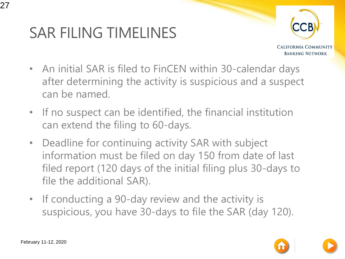#### SAR FILING TIMELINES



**CALIFORNIA COMMUNITY BANKING NETWORK** 

- An initial SAR is filed to FinCEN within 30-calendar days after determining the activity is suspicious and a suspect can be named.
- If no suspect can be identified, the financial institution can extend the filing to 60-days.
- Deadline for continuing activity SAR with subject information must be filed on day 150 from date of last filed report (120 days of the initial filing plus 30-days to file the additional SAR).
- If conducting a 90-day review and the activity is suspicious, you have 30-days to file the SAR (day 120).

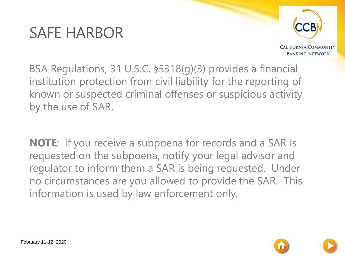#### SAFE HARBOR



**CALIFORNIA COMMUNITY BANKING NETWORK** 

BSA Regulations, 31 U.S.C. §5318(g)(3) provides a financial institution protection from civil liability for the reporting of known or suspected criminal offenses or suspicious activity by the use of SAR.

**NOTE**: if you receive a subpoena for records and a SAR is requested on the subpoena, notify your legal advisor and regulator to inform them a SAR is being requested. Under no circumstances are you allowed to provide the SAR. This information is used by law enforcement only.

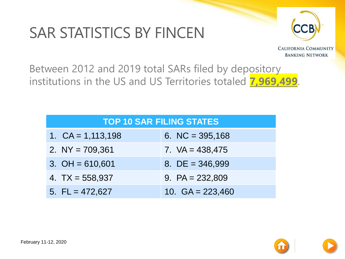#### SAR STATISTICS BY FINCEN



**CALIFORNIA COMMUNITY BANKING NETWORK** 

Between 2012 and 2019 total SARs filed by depository institutions in the US and US Territories totaled **7,969,499**.

| <b>TOP 10 SAR FILING STATES</b> |                     |                    |  |  |
|---------------------------------|---------------------|--------------------|--|--|
|                                 | 1. $CA = 1,113,198$ | 6. NC = $395,168$  |  |  |
|                                 | 2. $NY = 709,361$   | 7. $VA = 438,475$  |  |  |
|                                 | 3. $OH = 610,601$   | 8. DE = $346,999$  |  |  |
|                                 | 4. $TX = 558,937$   | 9. $PA = 232,809$  |  |  |
|                                 | 5. $FL = 472,627$   | 10. $GA = 223,460$ |  |  |

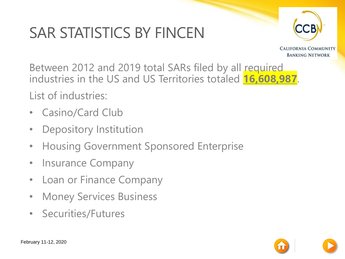### SAR STATISTICS BY FINCEN



**CALIFORNIA COMMUNITY BANKING NETWORK** 

Between 2012 and 2019 total SARs filed by all required industries in the US and US Territories totaled **16,608,987**.

List of industries:

- Casino/Card Club
- Depository Institution
- Housing Government Sponsored Enterprise
- Insurance Company
- Loan or Finance Company
- Money Services Business
- Securities/Futures

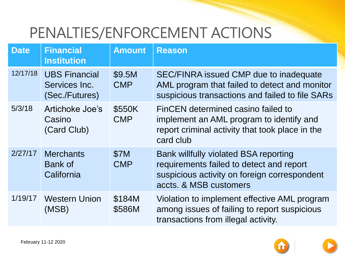#### PENALTIES/ENFORCEMENT ACTIONS

| <b>Date</b> | <b>Financial</b><br><b>Institution</b>                  | <b>Amount</b>             | <b>Reason</b>                                                                                                                                               |
|-------------|---------------------------------------------------------|---------------------------|-------------------------------------------------------------------------------------------------------------------------------------------------------------|
| 12/17/18    | <b>UBS Financial</b><br>Services Inc.<br>(Sec./Futures) | \$9.5M<br><b>CMP</b>      | <b>SEC/FINRA issued CMP due to inadequate</b><br>AML program that failed to detect and monitor<br>suspicious transactions and failed to file SARs           |
| 5/3/18      | Artichoke Joe's<br>Casino<br>(Card Club)                | \$550K<br><b>CMP</b>      | FinCEN determined casino failed to<br>implement an AML program to identify and<br>report criminal activity that took place in the<br>card club              |
| 2/27/17     | <b>Merchants</b><br><b>Bank of</b><br>California        | <b>\$7M</b><br><b>CMP</b> | Bank willfully violated BSA reporting<br>requirements failed to detect and report<br>suspicious activity on foreign correspondent<br>accts. & MSB customers |
| 1/19/17     | <b>Western Union</b><br>(MSB)                           | \$184M<br>\$586M          | Violation to implement effective AML program<br>among issues of failing to report suspicious<br>transactions from illegal activity.                         |

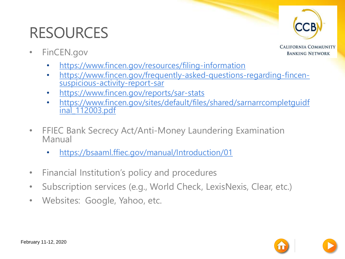#### RESOURCES

• FinCEN.gov

**CALIFORNIA COMMUNITY BANKING NETWORK** 

- <https://www.fincen.gov/resources/filing-information>
- [https://www.fincen.gov/frequently-asked-questions-regarding-fincen](https://www.fincen.gov/frequently-asked-questions-regarding-fincen-suspicious-activity-report-sar)suspicious-activity-report-sar
- <https://www.fincen.gov/reports/sar-stats>
- [https://www.fincen.gov/sites/default/files/shared/sarnarrcompletguidf](https://www.fincen.gov/sites/default/files/shared/sarnarrcompletguidfinal_112003.pdf) inal\_112003.pdf
- FFIEC Bank Secrecy Act/Anti-Money Laundering Examination Manual
	- <https://bsaaml.ffiec.gov/manual/Introduction/01>
- Financial Institution's policy and procedures
- Subscription services (e.g., World Check, LexisNexis, Clear, etc.)
- Websites: Google, Yahoo, etc.